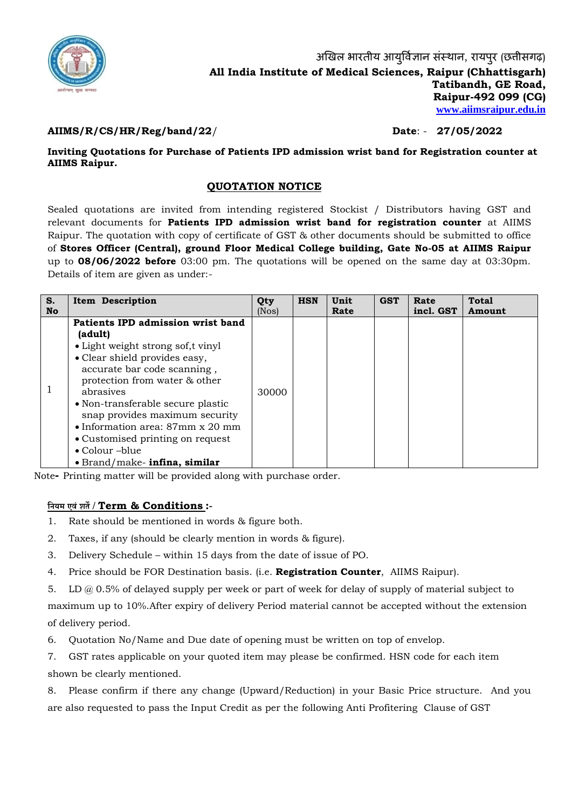

## **AIIMS/R/CS/HR/Reg/band/22**/ **Date**: - **27/05/2022**

**Inviting Quotations for Purchase of Patients IPD admission wrist band for Registration counter at AIIMS Raipur.**

## **QUOTATION NOTICE**

Sealed quotations are invited from intending registered Stockist / Distributors having GST and relevant documents for **Patients IPD admission wrist band for registration counter** at AIIMS Raipur. The quotation with copy of certificate of GST & other documents should be submitted to office of **Stores Officer (Central), ground Floor Medical College building, Gate No-05 at AIIMS Raipur** up to **08/06/2022 before** 03:00 pm. The quotations will be opened on the same day at 03:30pm. Details of item are given as under:-

| S. | <b>Item Description</b>                                                                                                                                                                                                                                                                                                                                                                 | Qty   | <b>HSN</b> | Unit | <b>GST</b> | Rate      | <b>Total</b> |
|----|-----------------------------------------------------------------------------------------------------------------------------------------------------------------------------------------------------------------------------------------------------------------------------------------------------------------------------------------------------------------------------------------|-------|------------|------|------------|-----------|--------------|
| No |                                                                                                                                                                                                                                                                                                                                                                                         | (Nos) |            | Rate |            | incl. GST | Amount       |
|    | Patients IPD admission wrist band<br>(adult)<br>• Light weight strong sof, t vinyl<br>• Clear shield provides easy,<br>accurate bar code scanning,<br>protection from water & other<br>abrasives<br>• Non-transferable secure plastic<br>snap provides maximum security<br>• Information area: $87 \text{mm} \times 20 \text{mm}$<br>• Customised printing on request<br>• Colour -blue | 30000 |            |      |            |           |              |
|    | $\bullet$ Brand/make- infina, similar                                                                                                                                                                                                                                                                                                                                                   |       |            |      |            |           |              |

Note**-** Printing matter will be provided along with purchase order.

## **नियम एवंशर्ते/ Term & Conditions :-**

- 1. Rate should be mentioned in words & figure both.
- 2. Taxes, if any (should be clearly mention in words & figure).
- 3. Delivery Schedule within 15 days from the date of issue of PO.
- 4. Price should be FOR Destination basis. (i.e. **Registration Counter**, AIIMS Raipur).
- 5. LD @ 0.5% of delayed supply per week or part of week for delay of supply of material subject to

maximum up to 10%.After expiry of delivery Period material cannot be accepted without the extension of delivery period.

- 6. Quotation No/Name and Due date of opening must be written on top of envelop.
- 7. GST rates applicable on your quoted item may please be confirmed. HSN code for each item shown be clearly mentioned.

8. Please confirm if there any change (Upward/Reduction) in your Basic Price structure. And you are also requested to pass the Input Credit as per the following Anti Profitering Clause of GST